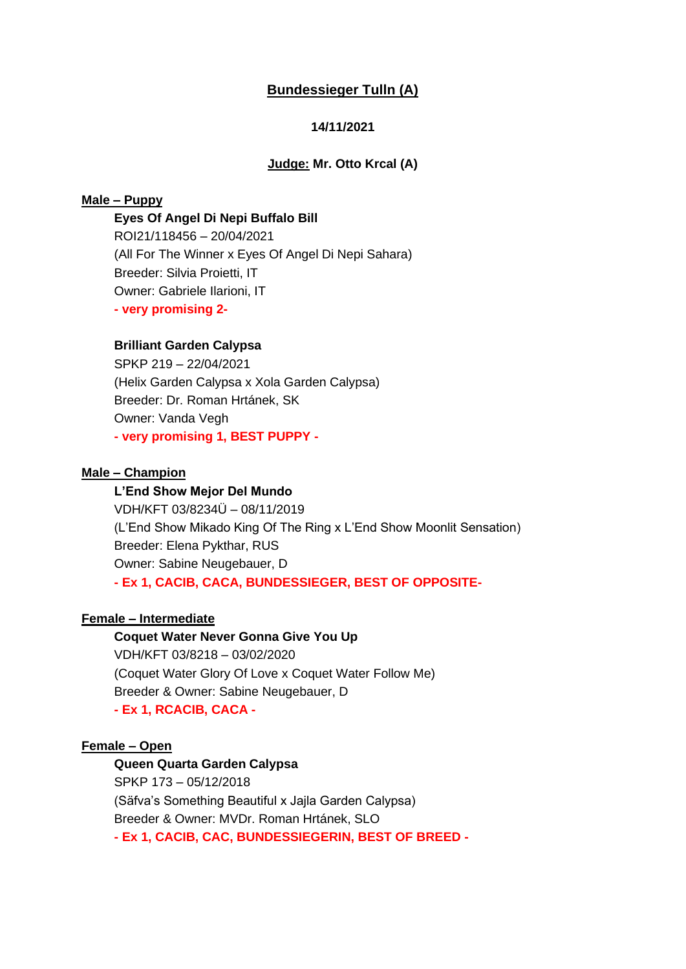# **Bundessieger Tulln (A)**

## **14/11/2021**

### **Judge: Mr. Otto Krcal (A)**

# **Male – Puppy**

#### **Eyes Of Angel Di Nepi Buffalo Bill**

ROI21/118456 – 20/04/2021 (All For The Winner x Eyes Of Angel Di Nepi Sahara) Breeder: Silvia Proietti, IT Owner: Gabriele Ilarioni, IT **- very promising 2-**

## **Brilliant Garden Calypsa**

SPKP 219 – 22/04/2021 (Helix Garden Calypsa x Xola Garden Calypsa) Breeder: Dr. Roman Hrtánek, SK Owner: Vanda Vegh **- very promising 1, BEST PUPPY -**

## **Male – Champion**

#### **L'End Show Mejor Del Mundo**

VDH/KFT 03/8234Ü – 08/11/2019 (L'End Show Mikado King Of The Ring x L'End Show Moonlit Sensation) Breeder: Elena Pykthar, RUS Owner: Sabine Neugebauer, D **- Ex 1, CACIB, CACA, BUNDESSIEGER, BEST OF OPPOSITE-**

### **Female – Intermediate**

**Coquet Water Never Gonna Give You Up** VDH/KFT 03/8218 – 03/02/2020 (Coquet Water Glory Of Love x Coquet Water Follow Me) Breeder & Owner: Sabine Neugebauer, D **- Ex 1, RCACIB, CACA -**

#### **Female – Open**

**Queen Quarta Garden Calypsa** SPKP 173 – 05/12/2018 (Säfva's Something Beautiful x Jajla Garden Calypsa) Breeder & Owner: MVDr. Roman Hrtánek, SLO **- Ex 1, CACIB, CAC, BUNDESSIEGERIN, BEST OF BREED -**